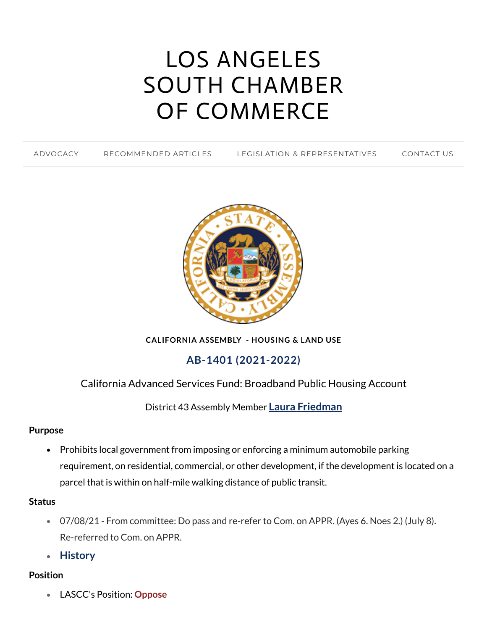# LOS ANGELES SOUTH CHAMBER OF [COMMERCE](https://www.lascc.us/)

[ADVOCACY](https://www.lascc.us/) [RECOMMENDED](https://www.lascc.us/recommended-articles.html) ARTICLES LEGISLATION & [REPRESENTATIVES](https://www.lascc.us/legislation--representatives.html) [CONTACT](https://www.lascc.us/contact-us.html) US



**CALIFORNIA ASSEMBLY - HOUSING & LAND USE**

# **AB-1401 (2021-2022)**

## California Advanced Services Fund: Broadband Public Housing Account

District 43 Assembly Member **Laura [Friedman](https://a64.asmdc.org/)**

#### **Purpose**

• Prohibits local government from imposing or enforcing a minimum automobile parking requirement, on residential, commercial, or other development, if the development is located on a parcel that is within on half-mile walking distance of public transit.

#### **Status**

- 07/08/21 From committee: Do pass and re-refer to Com. on APPR. (Ayes 6. Noes 2.) (July 8). Re-referred to Com. on APPR.
- **[History](https://leginfo.legislature.ca.gov/faces/billHistoryClient.xhtml?bill_id=202120220AB1401)**

### **Position**

LASCC's Position: **Oppose**